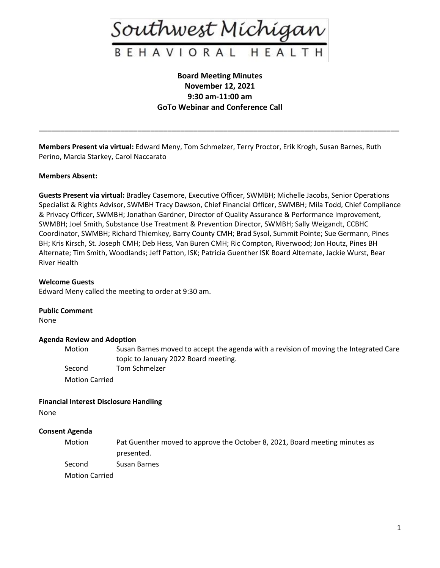

## **Board Meeting Minutes November 12, 2021 9:30 am-11:00 am GoTo Webinar and Conference Call**

**\_\_\_\_\_\_\_\_\_\_\_\_\_\_\_\_\_\_\_\_\_\_\_\_\_\_\_\_\_\_\_\_\_\_\_\_\_\_\_\_\_\_\_\_\_\_\_\_\_\_\_\_\_\_\_\_\_\_\_\_\_\_\_\_\_\_\_\_\_\_\_\_\_\_\_\_\_\_\_\_\_\_\_\_**

**Members Present via virtual:** Edward Meny, Tom Schmelzer, Terry Proctor, Erik Krogh, Susan Barnes, Ruth Perino, Marcia Starkey, Carol Naccarato

#### **Members Absent:**

**Guests Present via virtual:** Bradley Casemore, Executive Officer, SWMBH; Michelle Jacobs, Senior Operations Specialist & Rights Advisor, SWMBH Tracy Dawson, Chief Financial Officer, SWMBH; Mila Todd, Chief Compliance & Privacy Officer, SWMBH; Jonathan Gardner, Director of Quality Assurance & Performance Improvement, SWMBH; Joel Smith, Substance Use Treatment & Prevention Director, SWMBH; Sally Weigandt, CCBHC Coordinator, SWMBH; Richard Thiemkey, Barry County CMH; Brad Sysol, Summit Pointe; Sue Germann, Pines BH; Kris Kirsch, St. Joseph CMH; Deb Hess, Van Buren CMH; Ric Compton, Riverwood; Jon Houtz, Pines BH Alternate; Tim Smith, Woodlands; Jeff Patton, ISK; Patricia Guenther ISK Board Alternate, Jackie Wurst, Bear River Health

#### **Welcome Guests**

Edward Meny called the meeting to order at 9:30 am.

#### **Public Comment**

None

## **Agenda Review and Adoption**

Motion Susan Barnes moved to accept the agenda with a revision of moving the Integrated Care topic to January 2022 Board meeting. Second Tom Schmelzer Motion Carried

## **Financial Interest Disclosure Handling**

None

## **Consent Agenda**

Motion Pat Guenther moved to approve the October 8, 2021, Board meeting minutes as presented.

Second Susan Barnes

Motion Carried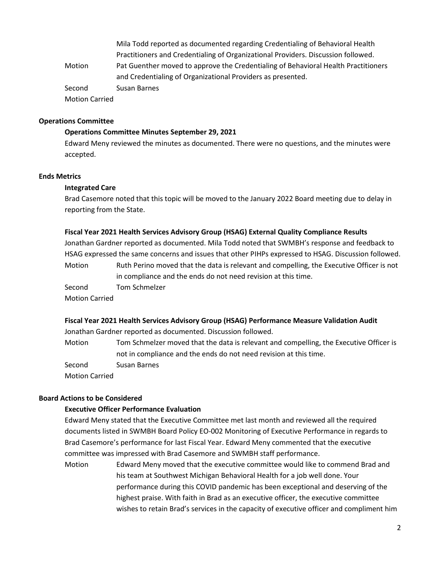Mila Todd reported as documented regarding Credentialing of Behavioral Health Practitioners and Credentialing of Organizational Providers. Discussion followed. Motion Pat Guenther moved to approve the Credentialing of Behavioral Health Practitioners and Credentialing of Organizational Providers as presented. Second Susan Barnes Motion Carried

#### **Operations Committee**

#### **Operations Committee Minutes September 29, 2021**

Edward Meny reviewed the minutes as documented. There were no questions, and the minutes were accepted.

## **Ends Metrics**

#### **Integrated Care**

Brad Casemore noted that this topic will be moved to the January 2022 Board meeting due to delay in reporting from the State.

#### **Fiscal Year 2021 Health Services Advisory Group (HSAG) External Quality Compliance Results**

Jonathan Gardner reported as documented. Mila Todd noted that SWMBH's response and feedback to HSAG expressed the same concerns and issues that other PIHPs expressed to HSAG. Discussion followed.

Motion Ruth Perino moved that the data is relevant and compelling, the Executive Officer is not in compliance and the ends do not need revision at this time.

Second Tom Schmelzer Motion Carried

# **Fiscal Year 2021 Health Services Advisory Group (HSAG) Performance Measure Validation Audit**

Jonathan Gardner reported as documented. Discussion followed.

Motion Tom Schmelzer moved that the data is relevant and compelling, the Executive Officer is not in compliance and the ends do not need revision at this time.

Second Susan Barnes

Motion Carried

## **Board Actions to be Considered**

## **Executive Officer Performance Evaluation**

Edward Meny stated that the Executive Committee met last month and reviewed all the required documents listed in SWMBH Board Policy EO-002 Monitoring of Executive Performance in regards to Brad Casemore's performance for last Fiscal Year. Edward Meny commented that the executive committee was impressed with Brad Casemore and SWMBH staff performance.

Motion Edward Meny moved that the executive committee would like to commend Brad and his team at Southwest Michigan Behavioral Health for a job well done. Your performance during this COVID pandemic has been exceptional and deserving of the highest praise. With faith in Brad as an executive officer, the executive committee wishes to retain Brad's services in the capacity of executive officer and compliment him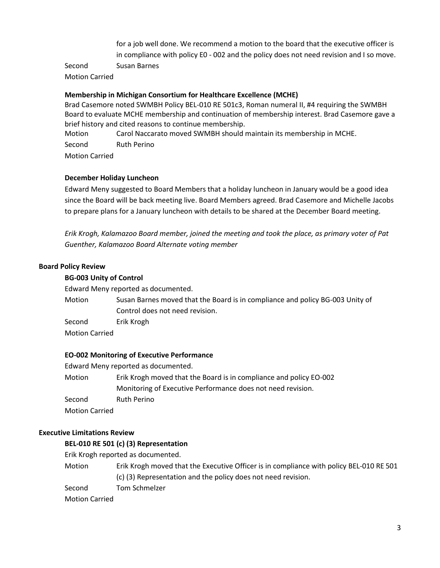for a job well done. We recommend a motion to the board that the executive officer is in compliance with policy E0 - 002 and the policy does not need revision and I so move.

Second Susan Barnes

Motion Carried

## **Membership in Michigan Consortium for Healthcare Excellence (MCHE)**

Brad Casemore noted SWMBH Policy BEL-010 RE 501c3, Roman numeral II, #4 requiring the SWMBH Board to evaluate MCHE membership and continuation of membership interest. Brad Casemore gave a brief history and cited reasons to continue membership.

Motion Carol Naccarato moved SWMBH should maintain its membership in MCHE. Second Ruth Perino Motion Carried

#### **December Holiday Luncheon**

Edward Meny suggested to Board Members that a holiday luncheon in January would be a good idea since the Board will be back meeting live. Board Members agreed. Brad Casemore and Michelle Jacobs to prepare plans for a January luncheon with details to be shared at the December Board meeting.

*Erik Krogh, Kalamazoo Board member, joined the meeting and took the place, as primary voter of Pat Guenther, Kalamazoo Board Alternate voting member*

#### **Board Policy Review**

#### **BG-003 Unity of Control**

Edward Meny reported as documented.

Motion Susan Barnes moved that the Board is in compliance and policy BG-003 Unity of Control does not need revision.

Second Erik Krogh

Motion Carried

#### **EO-002 Monitoring of Executive Performance**

Edward Meny reported as documented.

Motion Erik Krogh moved that the Board is in compliance and policy EO-002 Monitoring of Executive Performance does not need revision. Second Ruth Perino Motion Carried

#### **Executive Limitations Review**

#### **BEL-010 RE 501 (c) (3) Representation**

Erik Krogh reported as documented.

- Motion Erik Krogh moved that the Executive Officer is in compliance with policy BEL-010 RE 501 (c) (3) Representation and the policy does not need revision.
- Second Tom Schmelzer

Motion Carried